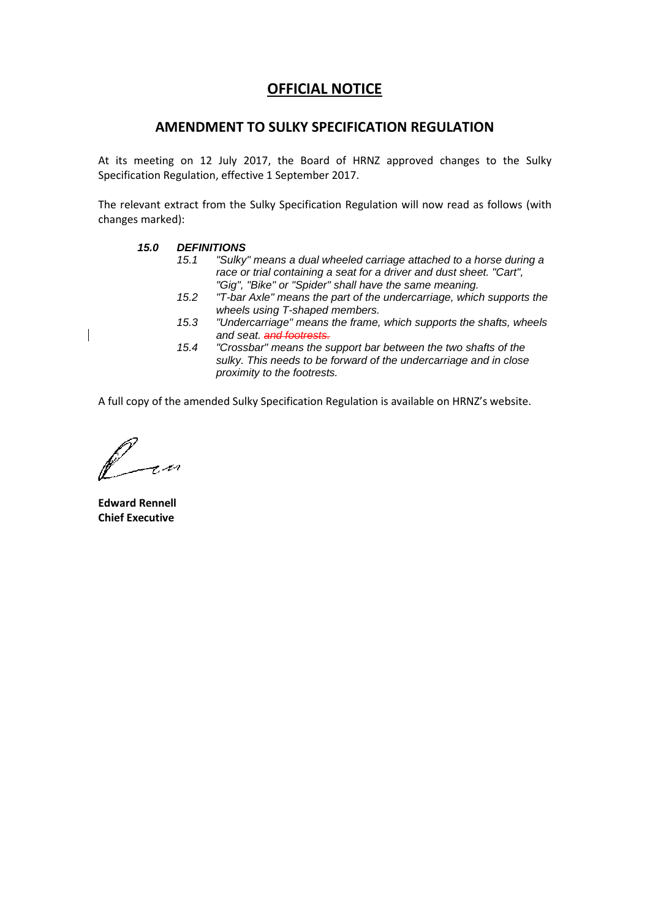#### **AMENDMENT TO SULKY SPECIFICATION REGULATION**

At its meeting on 12 July 2017, the Board of HRNZ approved changes to the Sulky Specification Regulation, effective 1 September 2017.

The relevant extract from the Sulky Specification Regulation will now read as follows (with changes marked):

#### *15.0 DEFINITIONS*

- *15.1 "Sulky" means a dual wheeled carriage attached to a horse during a race or trial containing a seat for a driver and dust sheet. "Cart", "Gig", "Bike" or "Spider" shall have the same meaning.*
- *15.2 "T-bar Axle" means the part of the undercarriage, which supports the wheels using T-shaped members.*
- *15.3 "Undercarriage" means the frame, which supports the shafts, wheels and seat. and footrests.*
- *15.4 "Crossbar" means the support bar between the two shafts of the sulky. This needs to be forward of the undercarriage and in close proximity to the footrests.*

A full copy of the amended Sulky Specification Regulation is available on HRNZ's website.

**Edward Rennell Chief Executive**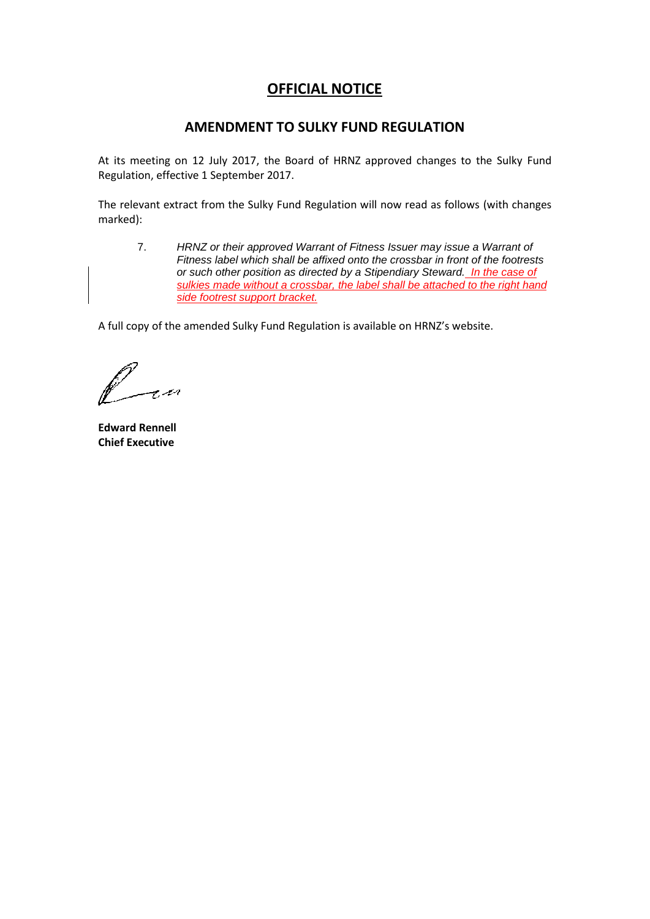### **AMENDMENT TO SULKY FUND REGULATION**

At its meeting on 12 July 2017, the Board of HRNZ approved changes to the Sulky Fund Regulation, effective 1 September 2017.

The relevant extract from the Sulky Fund Regulation will now read as follows (with changes marked):

7. *HRNZ or their approved Warrant of Fitness Issuer may issue a Warrant of Fitness label which shall be affixed onto the crossbar in front of the footrests or such other position as directed by a Stipendiary Steward. In the case of sulkies made without a crossbar, the label shall be attached to the right hand side footrest support bracket.*

A full copy of the amended Sulky Fund Regulation is available on HRNZ's website.

r 101

**Edward Rennell Chief Executive**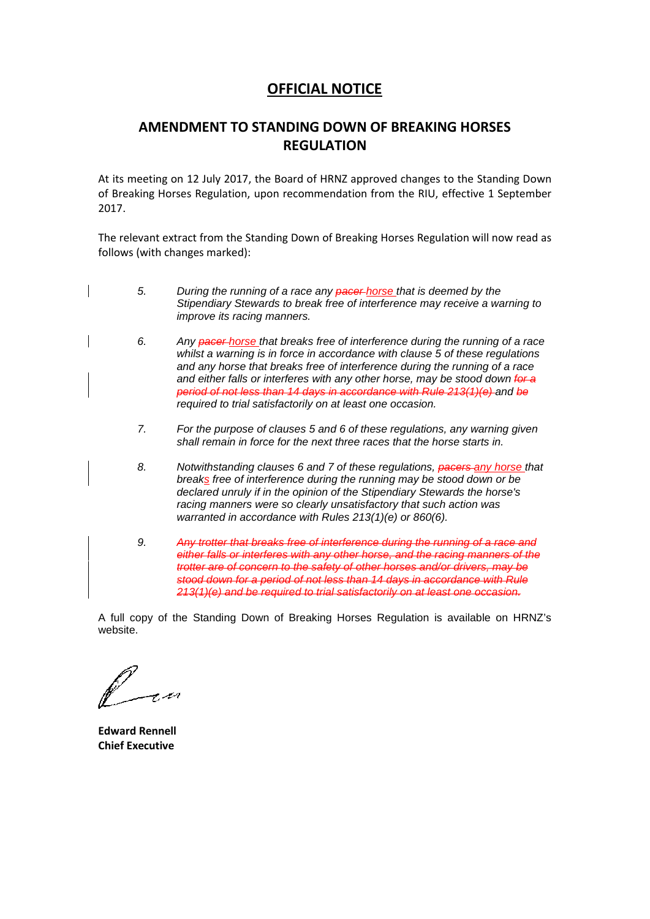# **AMENDMENT TO STANDING DOWN OF BREAKING HORSES REGULATION**

At its meeting on 12 July 2017, the Board of HRNZ approved changes to the Standing Down of Breaking Horses Regulation, upon recommendation from the RIU, effective 1 September 2017.

The relevant extract from the Standing Down of Breaking Horses Regulation will now read as follows (with changes marked):

- *5. During the running of a race any pacer horse that is deemed by the Stipendiary Stewards to break free of interference may receive a warning to improve its racing manners.*
	- *6. Any pacer horse that breaks free of interference during the running of a race whilst a warning is in force in accordance with clause 5 of these regulations and any horse that breaks free of interference during the running of a race and either falls or interferes with any other horse, may be stood down for a period of not less than 14 days in accordance with Rule 213(1)(e) and be required to trial satisfactorily on at least one occasion.*
	- *7. For the purpose of clauses 5 and 6 of these regulations, any warning given shall remain in force for the next three races that the horse starts in.*
	- *8. Notwithstanding clauses 6 and 7 of these regulations, pacers any horse that breaks free of interference during the running may be stood down or be declared unruly if in the opinion of the Stipendiary Stewards the horse's racing manners were so clearly unsatisfactory that such action was warranted in accordance with Rules 213(1)(e) or 860(6).*
	- *9. Any trotter that breaks free of interference during the running of a race and either falls or interferes with any other horse, and the racing manners of the trotter are of concern to the safety of other horses and/or drivers, may be stood down for a period of not less than 14 days in accordance with Rule 213(1)(e) and be required to trial satisfactorily on at least one occasion.*

A full copy of the Standing Down of Breaking Horses Regulation is available on HRNZ's website.

**Edward Rennell Chief Executive**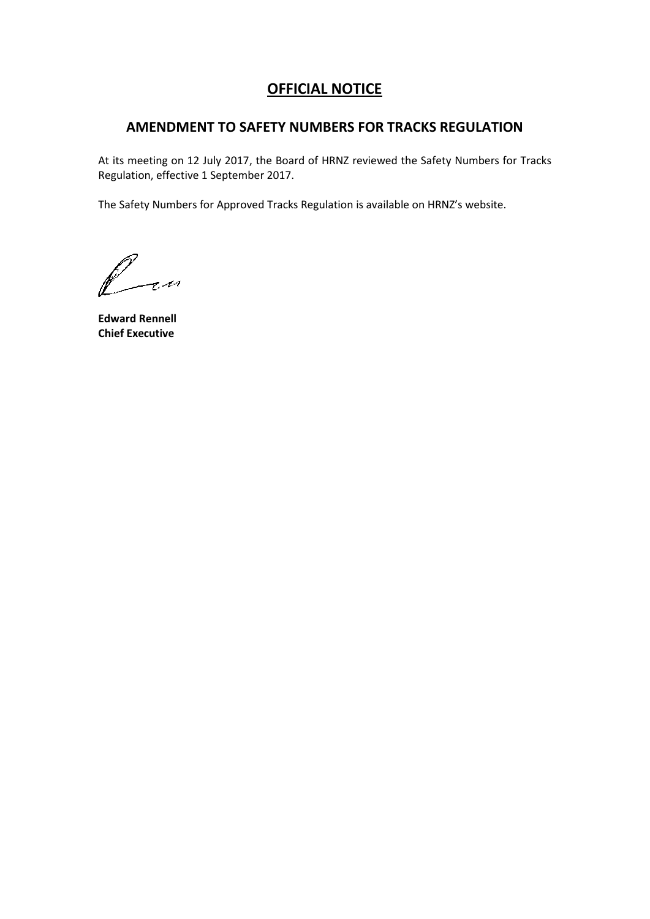### **AMENDMENT TO SAFETY NUMBERS FOR TRACKS REGULATION**

At its meeting on 12 July 2017, the Board of HRNZ reviewed the Safety Numbers for Tracks Regulation, effective 1 September 2017.

The Safety Numbers for Approved Tracks Regulation is available on HRNZ's website.

fran

**Edward Rennell Chief Executive**